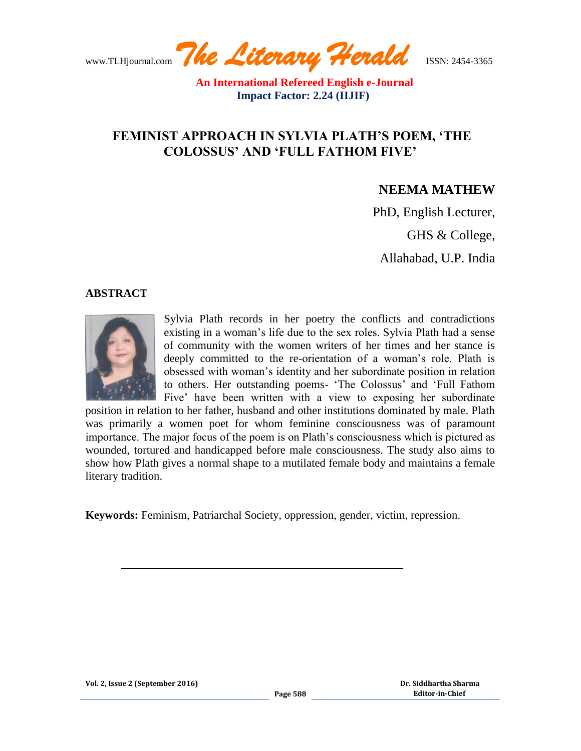www.TLHjournal.com *The Literary Herald*ISSN: 2454-3365

 **An International Refereed English e-Journal Impact Factor: 2.24 (IIJIF)**

# **FEMINIST APPROACH IN SYLVIA PLATH'S POEM, 'THE COLOSSUS' AND 'FULL FATHOM FIVE'**

## **NEEMA MATHEW**

PhD, English Lecturer,

GHS & College,

Allahabad, U.P. India

#### **ABSTRACT**



Sylvia Plath records in her poetry the conflicts and contradictions existing in a woman"s life due to the sex roles. Sylvia Plath had a sense of community with the women writers of her times and her stance is deeply committed to the re-orientation of a woman's role. Plath is obsessed with woman"s identity and her subordinate position in relation to others. Her outstanding poems- 'The Colossus' and 'Full Fathom Five' have been written with a view to exposing her subordinate

position in relation to her father, husband and other institutions dominated by male. Plath was primarily a women poet for whom feminine consciousness was of paramount importance. The major focus of the poem is on Plath"s consciousness which is pictured as wounded, tortured and handicapped before male consciousness. The study also aims to show how Plath gives a normal shape to a mutilated female body and maintains a female literary tradition.

**Keywords:** Feminism, Patriarchal Society, oppression, gender, victim, repression.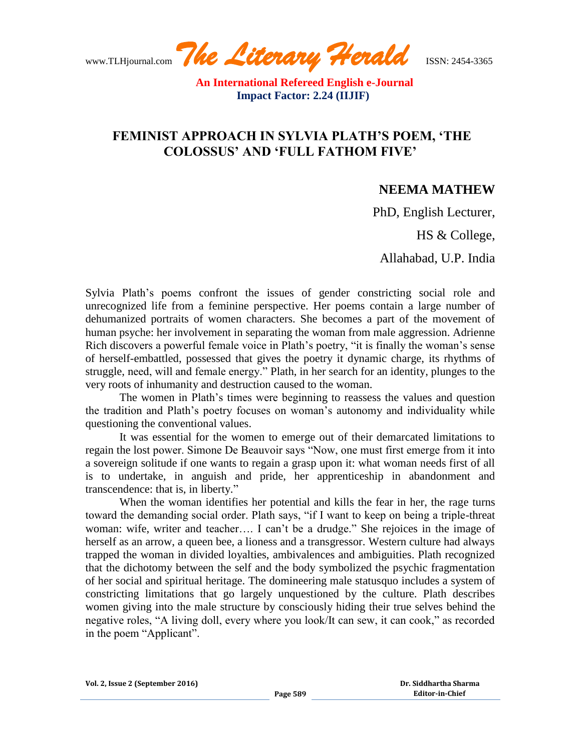www.TLHjournal.com *The Literary Herald*ISSN: 2454-3365

## **FEMINIST APPROACH IN SYLVIA PLATH'S POEM, 'THE COLOSSUS' AND 'FULL FATHOM FIVE'**

### **NEEMA MATHEW**

PhD, English Lecturer,

HS & College,

Allahabad, U.P. India

Sylvia Plath"s poems confront the issues of gender constricting social role and unrecognized life from a feminine perspective. Her poems contain a large number of dehumanized portraits of women characters. She becomes a part of the movement of human psyche: her involvement in separating the woman from male aggression. Adrienne Rich discovers a powerful female voice in Plath's poetry, "it is finally the woman's sense of herself-embattled, possessed that gives the poetry it dynamic charge, its rhythms of struggle, need, will and female energy." Plath, in her search for an identity, plunges to the very roots of inhumanity and destruction caused to the woman.

The women in Plath"s times were beginning to reassess the values and question the tradition and Plath"s poetry focuses on woman"s autonomy and individuality while questioning the conventional values.

It was essential for the women to emerge out of their demarcated limitations to regain the lost power. Simone De Beauvoir says "Now, one must first emerge from it into a sovereign solitude if one wants to regain a grasp upon it: what woman needs first of all is to undertake, in anguish and pride, her apprenticeship in abandonment and transcendence: that is, in liberty."

When the woman identifies her potential and kills the fear in her, the rage turns toward the demanding social order. Plath says, "if I want to keep on being a triple-threat woman: wife, writer and teacher…. I can't be a drudge." She rejoices in the image of herself as an arrow, a queen bee, a lioness and a transgressor. Western culture had always trapped the woman in divided loyalties, ambivalences and ambiguities. Plath recognized that the dichotomy between the self and the body symbolized the psychic fragmentation of her social and spiritual heritage. The domineering male statusquo includes a system of constricting limitations that go largely unquestioned by the culture. Plath describes women giving into the male structure by consciously hiding their true selves behind the negative roles, "A living doll, every where you look/It can sew, it can cook," as recorded in the poem "Applicant".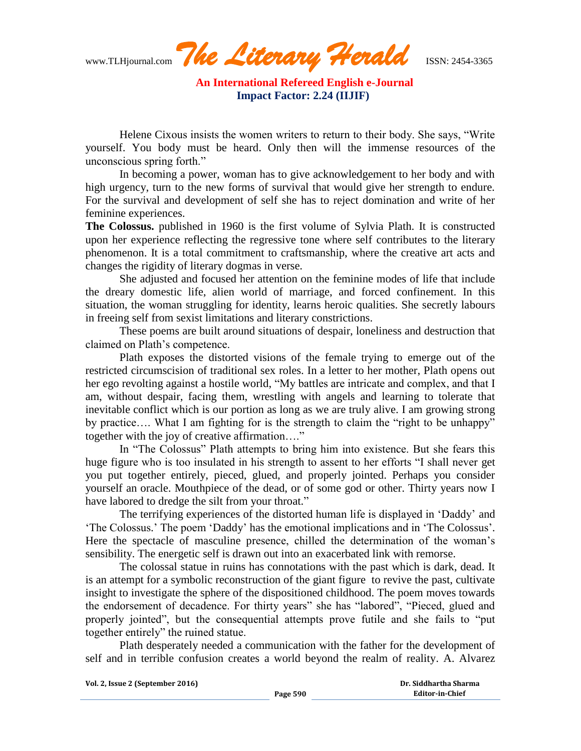www.TLHjournal.com *The Literary Herald*ISSN: 2454-3365

Helene Cixous insists the women writers to return to their body. She says, "Write yourself. You body must be heard. Only then will the immense resources of the unconscious spring forth."

In becoming a power, woman has to give acknowledgement to her body and with high urgency, turn to the new forms of survival that would give her strength to endure. For the survival and development of self she has to reject domination and write of her feminine experiences.

**The Colossus.** published in 1960 is the first volume of Sylvia Plath. It is constructed upon her experience reflecting the regressive tone where self contributes to the literary phenomenon. It is a total commitment to craftsmanship, where the creative art acts and changes the rigidity of literary dogmas in verse.

She adjusted and focused her attention on the feminine modes of life that include the dreary domestic life, alien world of marriage, and forced confinement. In this situation, the woman struggling for identity, learns heroic qualities. She secretly labours in freeing self from sexist limitations and literary constrictions.

These poems are built around situations of despair, loneliness and destruction that claimed on Plath"s competence.

Plath exposes the distorted visions of the female trying to emerge out of the restricted circumscision of traditional sex roles. In a letter to her mother, Plath opens out her ego revolting against a hostile world, "My battles are intricate and complex, and that I am, without despair, facing them, wrestling with angels and learning to tolerate that inevitable conflict which is our portion as long as we are truly alive. I am growing strong by practice…. What I am fighting for is the strength to claim the "right to be unhappy" together with the joy of creative affirmation…."

In "The Colossus" Plath attempts to bring him into existence. But she fears this huge figure who is too insulated in his strength to assent to her efforts "I shall never get you put together entirely, pieced, glued, and properly jointed. Perhaps you consider yourself an oracle. Mouthpiece of the dead, or of some god or other. Thirty years now I have labored to dredge the silt from your throat."

The terrifying experiences of the distorted human life is displayed in "Daddy" and "The Colossus." The poem "Daddy" has the emotional implications and in "The Colossus". Here the spectacle of masculine presence, chilled the determination of the woman's sensibility. The energetic self is drawn out into an exacerbated link with remorse.

The colossal statue in ruins has connotations with the past which is dark, dead. It is an attempt for a symbolic reconstruction of the giant figure to revive the past, cultivate insight to investigate the sphere of the dispositioned childhood. The poem moves towards the endorsement of decadence. For thirty years" she has "labored", "Pieced, glued and properly jointed", but the consequential attempts prove futile and she fails to "put together entirely" the ruined statue.

Plath desperately needed a communication with the father for the development of self and in terrible confusion creates a world beyond the realm of reality. A. Alvarez

**Vol. 2, Issue 2 (September 2016)**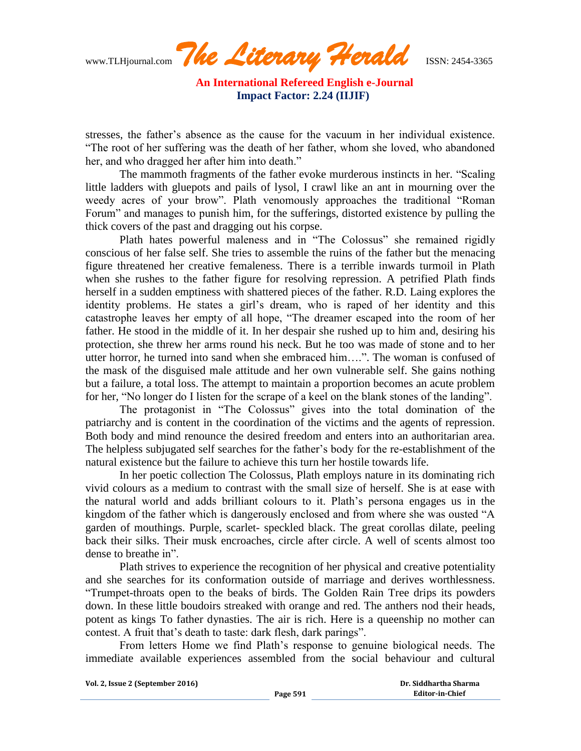www.TLHjournal.com *The Literary Herald*ISSN: 2454-3365

stresses, the father"s absence as the cause for the vacuum in her individual existence. "The root of her suffering was the death of her father, whom she loved, who abandoned her, and who dragged her after him into death."

The mammoth fragments of the father evoke murderous instincts in her. "Scaling little ladders with gluepots and pails of lysol, I crawl like an ant in mourning over the weedy acres of your brow". Plath venomously approaches the traditional "Roman Forum" and manages to punish him, for the sufferings, distorted existence by pulling the thick covers of the past and dragging out his corpse.

Plath hates powerful maleness and in "The Colossus" she remained rigidly conscious of her false self. She tries to assemble the ruins of the father but the menacing figure threatened her creative femaleness. There is a terrible inwards turmoil in Plath when she rushes to the father figure for resolving repression. A petrified Plath finds herself in a sudden emptiness with shattered pieces of the father. R.D. Laing explores the identity problems. He states a girl"s dream, who is raped of her identity and this catastrophe leaves her empty of all hope, "The dreamer escaped into the room of her father. He stood in the middle of it. In her despair she rushed up to him and, desiring his protection, she threw her arms round his neck. But he too was made of stone and to her utter horror, he turned into sand when she embraced him….". The woman is confused of the mask of the disguised male attitude and her own vulnerable self. She gains nothing but a failure, a total loss. The attempt to maintain a proportion becomes an acute problem for her, "No longer do I listen for the scrape of a keel on the blank stones of the landing".

The protagonist in "The Colossus" gives into the total domination of the patriarchy and is content in the coordination of the victims and the agents of repression. Both body and mind renounce the desired freedom and enters into an authoritarian area. The helpless subjugated self searches for the father"s body for the re-establishment of the natural existence but the failure to achieve this turn her hostile towards life.

In her poetic collection The Colossus, Plath employs nature in its dominating rich vivid colours as a medium to contrast with the small size of herself. She is at ease with the natural world and adds brilliant colours to it. Plath"s persona engages us in the kingdom of the father which is dangerously enclosed and from where she was ousted "A garden of mouthings. Purple, scarlet- speckled black. The great corollas dilate, peeling back their silks. Their musk encroaches, circle after circle. A well of scents almost too dense to breathe in".

Plath strives to experience the recognition of her physical and creative potentiality and she searches for its conformation outside of marriage and derives worthlessness. "Trumpet-throats open to the beaks of birds. The Golden Rain Tree drips its powders down. In these little boudoirs streaked with orange and red. The anthers nod their heads, potent as kings To father dynasties. The air is rich. Here is a queenship no mother can contest. A fruit that's death to taste: dark flesh, dark parings".

From letters Home we find Plath"s response to genuine biological needs. The immediate available experiences assembled from the social behaviour and cultural

**Vol. 2, Issue 2 (September 2016)**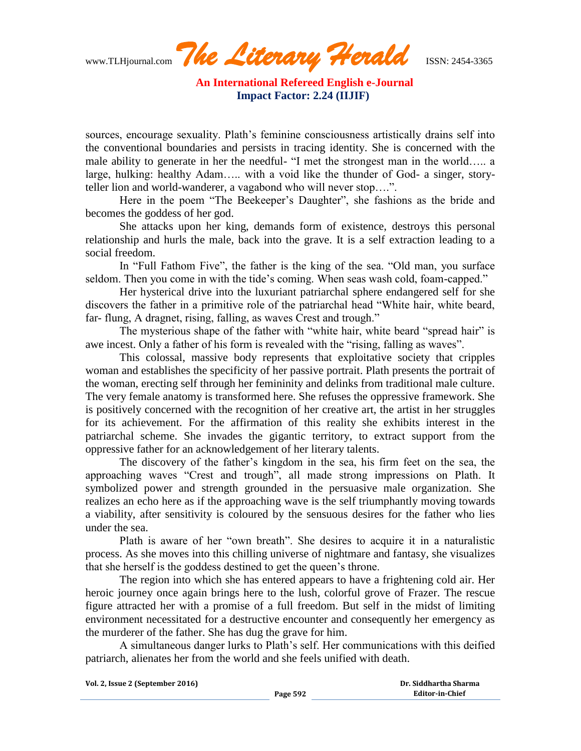sources, encourage sexuality. Plath's feminine consciousness artistically drains self into the conventional boundaries and persists in tracing identity. She is concerned with the male ability to generate in her the needful- "I met the strongest man in the world….. a large, hulking: healthy Adam….. with a void like the thunder of God- a singer, storyteller lion and world-wanderer, a vagabond who will never stop….".

Here in the poem "The Beekeeper"s Daughter", she fashions as the bride and becomes the goddess of her god.

She attacks upon her king, demands form of existence, destroys this personal relationship and hurls the male, back into the grave. It is a self extraction leading to a social freedom.

In "Full Fathom Five", the father is the king of the sea. "Old man, you surface seldom. Then you come in with the tide's coming. When seas wash cold, foam-capped."

Her hysterical drive into the luxuriant patriarchal sphere endangered self for she discovers the father in a primitive role of the patriarchal head "White hair, white beard, far- flung, A dragnet, rising, falling, as waves Crest and trough."

The mysterious shape of the father with "white hair, white beard "spread hair" is awe incest. Only a father of his form is revealed with the "rising, falling as waves".

This colossal, massive body represents that exploitative society that cripples woman and establishes the specificity of her passive portrait. Plath presents the portrait of the woman, erecting self through her femininity and delinks from traditional male culture. The very female anatomy is transformed here. She refuses the oppressive framework. She is positively concerned with the recognition of her creative art, the artist in her struggles for its achievement. For the affirmation of this reality she exhibits interest in the patriarchal scheme. She invades the gigantic territory, to extract support from the oppressive father for an acknowledgement of her literary talents.

The discovery of the father"s kingdom in the sea, his firm feet on the sea, the approaching waves "Crest and trough", all made strong impressions on Plath. It symbolized power and strength grounded in the persuasive male organization. She realizes an echo here as if the approaching wave is the self triumphantly moving towards a viability, after sensitivity is coloured by the sensuous desires for the father who lies under the sea.

Plath is aware of her "own breath". She desires to acquire it in a naturalistic process. As she moves into this chilling universe of nightmare and fantasy, she visualizes that she herself is the goddess destined to get the queen"s throne.

The region into which she has entered appears to have a frightening cold air. Her heroic journey once again brings here to the lush, colorful grove of Frazer. The rescue figure attracted her with a promise of a full freedom. But self in the midst of limiting environment necessitated for a destructive encounter and consequently her emergency as the murderer of the father. She has dug the grave for him.

A simultaneous danger lurks to Plath"s self. Her communications with this deified patriarch, alienates her from the world and she feels unified with death.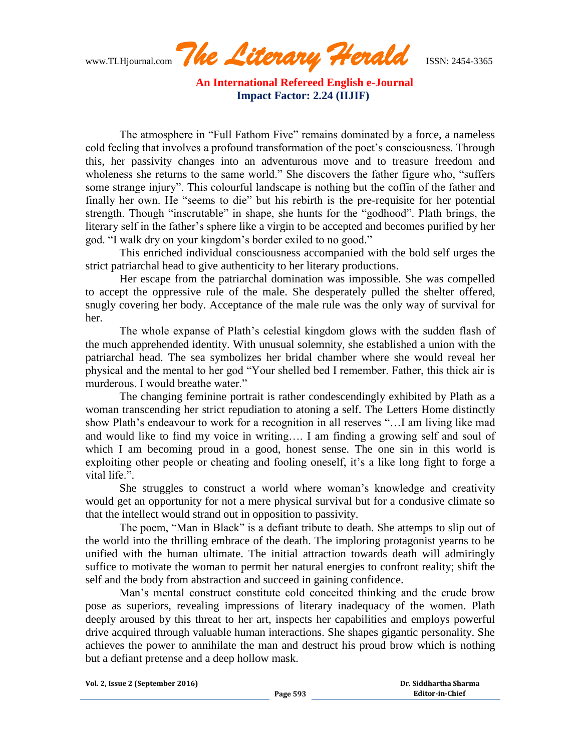www.TLHjournal.com *The Literary Herald*ISSN: 2454-3365

The atmosphere in "Full Fathom Five" remains dominated by a force, a nameless cold feeling that involves a profound transformation of the poet's consciousness. Through this, her passivity changes into an adventurous move and to treasure freedom and wholeness she returns to the same world." She discovers the father figure who, "suffers some strange injury". This colourful landscape is nothing but the coffin of the father and finally her own. He "seems to die" but his rebirth is the pre-requisite for her potential strength. Though "inscrutable" in shape, she hunts for the "godhood". Plath brings, the literary self in the father's sphere like a virgin to be accepted and becomes purified by her god. "I walk dry on your kingdom"s border exiled to no good."

This enriched individual consciousness accompanied with the bold self urges the strict patriarchal head to give authenticity to her literary productions.

Her escape from the patriarchal domination was impossible. She was compelled to accept the oppressive rule of the male. She desperately pulled the shelter offered, snugly covering her body. Acceptance of the male rule was the only way of survival for her.

The whole expanse of Plath"s celestial kingdom glows with the sudden flash of the much apprehended identity. With unusual solemnity, she established a union with the patriarchal head. The sea symbolizes her bridal chamber where she would reveal her physical and the mental to her god "Your shelled bed I remember. Father, this thick air is murderous. I would breathe water."

The changing feminine portrait is rather condescendingly exhibited by Plath as a woman transcending her strict repudiation to atoning a self. The Letters Home distinctly show Plath's endeavour to work for a recognition in all reserves "... I am living like mad and would like to find my voice in writing…. I am finding a growing self and soul of which I am becoming proud in a good, honest sense. The one sin in this world is exploiting other people or cheating and fooling oneself, it's a like long fight to forge a vital life.".

She struggles to construct a world where woman"s knowledge and creativity would get an opportunity for not a mere physical survival but for a condusive climate so that the intellect would strand out in opposition to passivity.

The poem, "Man in Black" is a defiant tribute to death. She attemps to slip out of the world into the thrilling embrace of the death. The imploring protagonist yearns to be unified with the human ultimate. The initial attraction towards death will admiringly suffice to motivate the woman to permit her natural energies to confront reality; shift the self and the body from abstraction and succeed in gaining confidence.

Man"s mental construct constitute cold conceited thinking and the crude brow pose as superiors, revealing impressions of literary inadequacy of the women. Plath deeply aroused by this threat to her art, inspects her capabilities and employs powerful drive acquired through valuable human interactions. She shapes gigantic personality. She achieves the power to annihilate the man and destruct his proud brow which is nothing but a defiant pretense and a deep hollow mask.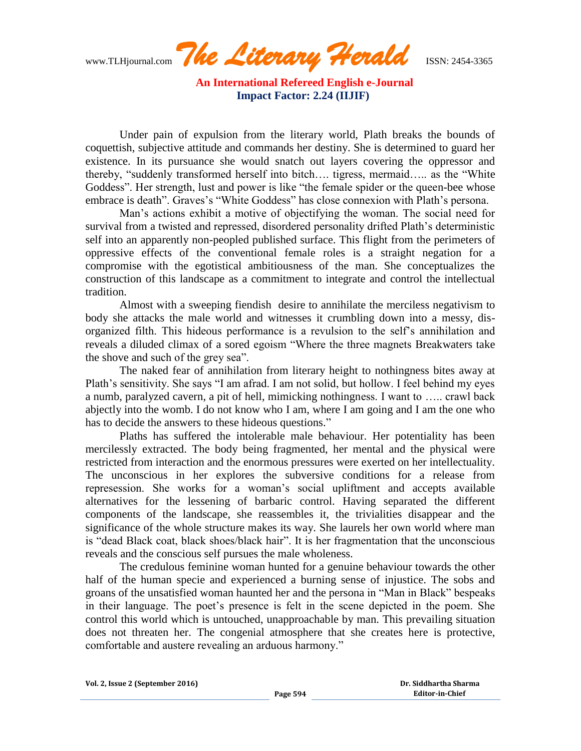www.TLHjournal.com *The Literary Herald*ISSN: 2454-3365

Under pain of expulsion from the literary world, Plath breaks the bounds of coquettish, subjective attitude and commands her destiny. She is determined to guard her existence. In its pursuance she would snatch out layers covering the oppressor and thereby, "suddenly transformed herself into bitch…. tigress, mermaid….. as the "White Goddess". Her strength, lust and power is like "the female spider or the queen-bee whose embrace is death". Graves's "White Goddess" has close connexion with Plath's persona.

Man"s actions exhibit a motive of objectifying the woman. The social need for survival from a twisted and repressed, disordered personality drifted Plath's deterministic self into an apparently non-peopled published surface. This flight from the perimeters of oppressive effects of the conventional female roles is a straight negation for a compromise with the egotistical ambitiousness of the man. She conceptualizes the construction of this landscape as a commitment to integrate and control the intellectual tradition.

Almost with a sweeping fiendish desire to annihilate the merciless negativism to body she attacks the male world and witnesses it crumbling down into a messy, disorganized filth. This hideous performance is a revulsion to the self"s annihilation and reveals a diluded climax of a sored egoism "Where the three magnets Breakwaters take the shove and such of the grey sea".

The naked fear of annihilation from literary height to nothingness bites away at Plath"s sensitivity. She says "I am afrad. I am not solid, but hollow. I feel behind my eyes a numb, paralyzed cavern, a pit of hell, mimicking nothingness. I want to ….. crawl back abjectly into the womb. I do not know who I am, where I am going and I am the one who has to decide the answers to these hideous questions."

Plaths has suffered the intolerable male behaviour. Her potentiality has been mercilessly extracted. The body being fragmented, her mental and the physical were restricted from interaction and the enormous pressures were exerted on her intellectuality. The unconscious in her explores the subversive conditions for a release from represession. She works for a woman"s social upliftment and accepts available alternatives for the lessening of barbaric control. Having separated the different components of the landscape, she reassembles it, the trivialities disappear and the significance of the whole structure makes its way. She laurels her own world where man is "dead Black coat, black shoes/black hair". It is her fragmentation that the unconscious reveals and the conscious self pursues the male wholeness.

The credulous feminine woman hunted for a genuine behaviour towards the other half of the human specie and experienced a burning sense of injustice. The sobs and groans of the unsatisfied woman haunted her and the persona in "Man in Black" bespeaks in their language. The poet"s presence is felt in the scene depicted in the poem. She control this world which is untouched, unapproachable by man. This prevailing situation does not threaten her. The congenial atmosphere that she creates here is protective, comfortable and austere revealing an arduous harmony."